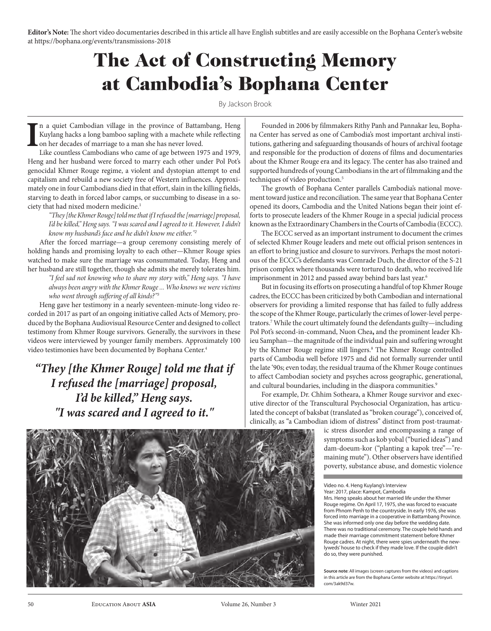**Editor's Note:** The short video documentaries described in this article all have English subtitles and are easily accessible on the Bophana Center's website at https://bophana.org/events/transmissions-2018

# The Act of Constructing Memory at Cambodia's Bophana Center

By Jackson Brook

**I** n a quiet Cambodian village in the province of Battambang, Heng Kuylang hacks a long bamboo sapling with a machete while reflecting on her decades of marriage to a man she has never loved.

Like countless Cambodians who came of age between 1975 and 1979, Heng and her husband were forced to marry each other under Pol Pot's genocidal Khmer Rouge regime, a violent and dystopian attempt to end capitalism and rebuild a new society free of Western influences. Approximately one in four Cambodians died in that effort, slain in the killing fields, starving to death in forced labor camps, or succumbing to disease in a society that had nixed modern medicine.<sup>1</sup>

*"They [the Khmer Rouge] told me that if I refused the [marriage] proposal,*  I'd be killed," Heng says. "I was scared and I agreed to it. However, I didn't *know my husband's face and he didn't know me either."<sup>2</sup>*

After the forced marriage—a group ceremony consisting merely of holding hands and promising loyalty to each other—Khmer Rouge spies watched to make sure the marriage was consummated. Today, Heng and her husband are still together, though she admits she merely tolerates him.

*"I feel sad not knowing who to share my story with," Heng says. "I have always been angry with the Khmer Rouge ... Who knows we were victims who went through suffering of all kinds?"<sup>3</sup>*

Heng gave her testimony in a nearly seventeen-minute-long video recorded in 2017 as part of an ongoing initiative called Acts of Memory, produced by the Bophana Audiovisual Resource Center and designed to collect testimony from Khmer Rouge survivors. Generally, the survivors in these videos were interviewed by younger family members. Approximately 100 video testimonies have been documented by Bophana Center.4

#### *"They [the Khmer Rouge] told me that if I refused the [marriage] proposal, I'd be killed," Heng says. "I was scared and I agreed to it."*

Founded in 2006 by filmmakers Rithy Panh and Pannakar Ieu, Bophana Center has served as one of Cambodia's most important archival institutions, gathering and safeguarding thousands of hours of archival footage and responsible for the production of dozens of films and documentaries about the Khmer Rouge era and its legacy. The center has also trained and supported hundreds of young Cambodians in the art of filmmaking and the techniques of video production.<sup>5</sup>

The growth of Bophana Center parallels Cambodia's national movement toward justice and reconciliation. The same year that Bophana Center opened its doors, Cambodia and the United Nations began their joint efforts to prosecute leaders of the Khmer Rouge in a special judicial process known as the Extraordinary Chambers in the Courts of Cambodia (ECCC).

The ECCC served as an important instrument to document the crimes of selected Khmer Rouge leaders and mete out official prison sentences in an effort to bring justice and closure to survivors. Perhaps the most notorious of the ECCC's defendants was Comrade Duch, the director of the S-21 prison complex where thousands were tortured to death, who received life imprisonment in 2012 and passed away behind bars last year.<sup>6</sup>

But in focusing its efforts on prosecuting a handful of top Khmer Rouge cadres, the ECCC has been criticized by both Cambodian and international observers for providing a limited response that has failed to fully address the scope of the Khmer Rouge, particularly the crimes of lower-level perpetrators.7While the court ultimately found the defendants guilty—including Pol Pot's second-in-command, Nuon Chea**,** and the prominent leader Khieu Samphan—the magnitude of the individual pain and suffering wrought by the Khmer Rouge regime still lingers.<sup>8</sup> The Khmer Rouge controlled parts of Cambodia well before 1975 and did not formally surrender until the late '90s; even today, the residual trauma of the Khmer Rouge continues to affect Cambodian society and psyches across geographic, generational, and cultural boundaries, including in the diaspora communities.<sup>9</sup>

For example, Dr. Chhim Sotheara, a Khmer Rouge survivor and executive director of the Transcultural Psychosocial Organization, has articulated the concept of baksbat (translated as "broken courage"), conceived of, clinically, as "a Cambodian idiom of distress" distinct from post-traumat-

> ic stress disorder and encompassing a range of symptoms such as kob yobal ("buried ideas") and dam-doeum-kor ("planting a kapok tree"—"remaining mute"). Other observers have identified poverty, substance abuse, and domestic violence

Video no. 4. Heng Kuylang's Interview

**Source note**: All images (screen captures from the videos) and captions in this article are from the Bophana Center website at https://tinyurl. com/3ak9d37w.



Year: 2017, place: Kampot, Cambodia Mrs. Heng speaks about her married life under the Khmer Rouge regime. On April 17, 1975, she was forced to evacuate from Phnom Penh to the countryside. In early 1976, she was forced into marriage in a cooperative in Battambang Province. She was informed only one day before the wedding date. There was no traditional ceremony. The couple held hands and made their marriage commitment statement before Khmer Rouge cadres. At night, there were spies underneath the newlyweds' house to check if they made love. If the couple didn't do so, they were punished.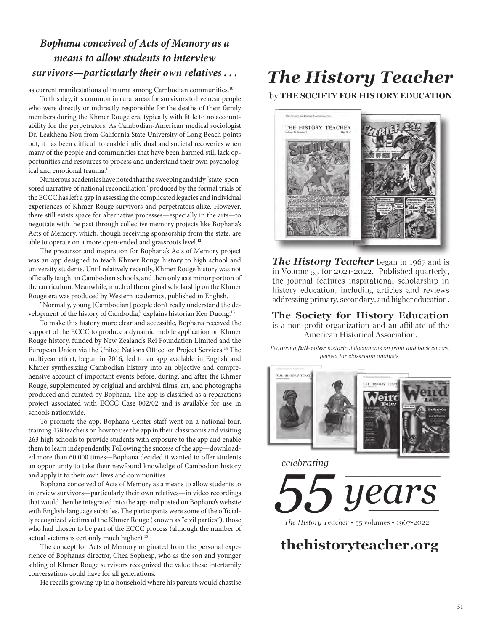### *Bophana conceived of Acts of Memory as a means to allow students to interview survivors—particularly their own relatives . . .*

as current manifestations of trauma among Cambodian communities.<sup>10</sup>

To this day, it is common in rural areas for survivors to live near people who were directly or indirectly responsible for the deaths of their family members during the Khmer Rouge era, typically with little to no account ability for the perpetrators. As Cambodian-American medical sociologist Dr. Leakhena Nou from California State University of Long Beach points out, it has been difficult to enable individual and societal recoveries when many of the people and communities that have been harmed still lack op portunities and resources to process and understand their own psycholog ical and emotional trauma.**<sup>11</sup>**

Numerous academics have noted that the sweeping and tidy "state-spon sored narrative of national reconciliation" produced by the formal trials of the ECCC has left a gap in assessing the complicated legacies and individual experiences of Khmer Rouge survivors and perpetrators alike. However, there still exists space for alternative processes—especially in the arts—to negotiate with the past through collective memory projects like Bophana's Acts of Memory, which, though receiving sponsorship from the state, are able to operate on a more open-ended and grassroots level.**<sup>12</sup>**

The precursor and inspiration for Bophana's Acts of Memory project was an app designed to teach Khmer Rouge history to high school and university students. Until relatively recently, Khmer Rouge history was not officially taught in Cambodian schools, and then only as a minor portion of the curriculum. Meanwhile, much of the original scholarship on the Khmer Rouge era was produced by Western academics, published in English.

"Normally, young [Cambodian] people don't really understand the de velopment of the history of Cambodia," explains historian Keo Duong.**<sup>13</sup>**

To make this history more clear and accessible, Bophana received the support of the ECCC to produce a dynamic mobile application on Khmer Rouge history, funded by New Zealand's Rei Foundation Limited and the European Union via the United Nations Office for Project Services.14 The multiyear effort, begun in 2016, led to an app available in English and Khmer synthesizing Cambodian history into an objective and compre hensive account of important events before, during, and after the Khmer Rouge, supplemented by original and archival films, art, and photographs produced and curated by Bophana. The app is classified as a reparations project associated with ECCC Case 002/02 and is available for use in schools nationwide.

To promote the app, Bophana Center staff went on a national tour, training 458 teachers on how to use the app in their classrooms and visiting 263 high schools to provide students with exposure to the app and enable them to learn independently. Following the success of the app—download ed more than 60,000 times—Bophana decided it wanted to offer students an opportunity to take their newfound knowledge of Cambodian history and apply it to their own lives and communities.

Bophana conceived of Acts of Memory as a means to allow students to interview survivors—particularly their own relatives—in video recordings that would then be integrated into the app and posted on Bophana's website with English-language subtitles. The participants were some of the official ly recognized victims of the Khmer Rouge (known as "civil parties"), those who had chosen to be part of the ECCC process (although the number of actual victims is certainly much higher).<sup>15</sup>

The concept for Acts of Memory originated from the personal expe rience of Bophana's director, Chea Sopheap, who as the son and younger sibling of Khmer Rouge survivors recognized the value these interfamily conversations could have for all generations.

He recalls growing up in a household where his parents would chastise

## **The History Teacher**

by THE SOCIETY FOR HISTORY EDUCATION



**The History Teacher** began in 1967 and is in Volume 55 for 2021-2022. Published quarterly, the journal features inspirational scholarship in history education, including articles and reviews addressing primary, secondary, and higher education.

The Society for History Education is a non-profit organization and an affiliate of the American Historical Association.

Featuring full-color historical documents on front and back covers, perfect for classroom analysis.



celebrating

years

the history teacher.org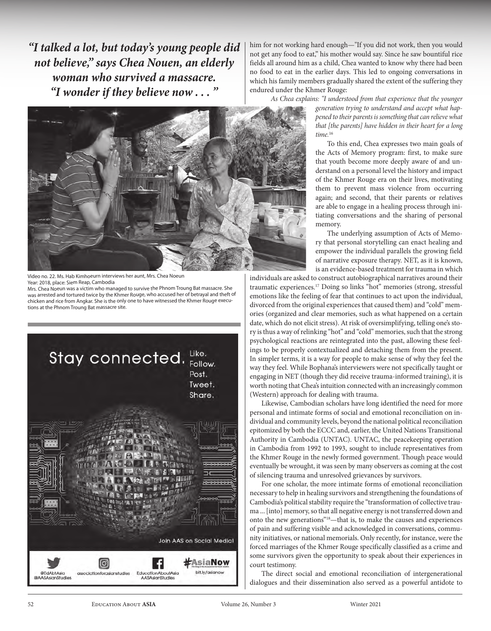*"I talked a lot, but today's young people did not believe," says Chea Nouen, an elderly woman who survived a massacre. "I wonder if they believe now . . . "* 



Video no. 22. Ms. Hab Kimhoeurn interviews her aunt, Mrs. Chea Noeun Year: 2018, place: Siem Reap, Cambodia

Mrs. Chea Noeun was a victim who managed to survive the Phnom Troung Bat massacre. She was arrested and tortured twice by the Khmer Rouge, who accused her of betrayal and theft of chicken and rice from Angkar. She is the only one to have witnessed the Khmer Rouge executions at the Phnom Troung Bat massacre site.



him for not working hard enough—"If you did not work, then you would not get any food to eat," his mother would say. Since he saw bountiful rice fields all around him as a child, Chea wanted to know why there had been no food to eat in the earlier days. This led to ongoing conversations in which his family members gradually shared the extent of the suffering they endured under the Khmer Rouge:

*As Chea explains: "I understood from that experience that the younger generation trying to understand and accept what happened to their parents is something that can relieve what that [the parents] have hidden in their heart for a long time.*<sup>16</sup>

> To this end, Chea expresses two main goals of the Acts of Memory program: first, to make sure that youth become more deeply aware of and understand on a personal level the history and impact of the Khmer Rouge era on their lives, motivating them to prevent mass violence from occurring again; and second, that their parents or relatives are able to engage in a healing process through initiating conversations and the sharing of personal memory.

> The underlying assumption of Acts of Memory that personal storytelling can enact healing and empower the individual parallels the growing field of narrative exposure therapy. NET, as it is known, is an evidence-based treatment for trauma in which

individuals are asked to construct autobiographical narratives around their traumatic experiences.17 Doing so links "hot" memories (strong, stressful emotions like the feeling of fear that continues to act upon the individual, divorced from the original experiences that caused them) and "cold" memories (organized and clear memories, such as what happened on a certain date, which do not elicit stress). At risk of oversimplifying, telling one's story is thus a way of relinking "hot" and "cold" memories, such that the strong psychological reactions are reintegrated into the past, allowing these feelings to be properly contextualized and detaching them from the present. In simpler terms, it is a way for people to make sense of why they feel the way they feel. While Bophana's interviewers were not specifically taught or engaging in NET (though they did receive trauma-informed training), it is worth noting that Chea's intuition connected with an increasingly common (Western) approach for dealing with trauma.

Likewise, Cambodian scholars have long identified the need for more personal and intimate forms of social and emotional reconciliation on individual and community levels, beyond the national political reconciliation epitomized by both the ECCC and, earlier, the United Nations Transitional Authority in Cambodia (UNTAC). UNTAC, the peacekeeping operation in Cambodia from 1992 to 1993, sought to include representatives from the Khmer Rouge in the newly formed government. Though peace would eventually be wrought, it was seen by many observers as coming at the cost of silencing trauma and unresolved grievances by survivors.

For one scholar, the more intimate forms of emotional reconciliation necessary to help in healing survivors and strengthening the foundations of Cambodia's political stability require the "transformation of collective trauma ... [into] memory, so that all negative energy is not transferred down and onto the new generations"18—that is, to make the causes and experiences of pain and suffering visible and acknowledged in conversations, community initiatives, or national memorials. Only recently, for instance, were the forced marriages of the Khmer Rouge specifically classified as a crime and some survivors given the opportunity to speak about their experiences in court testimony.

The direct social and emotional reconciliation of intergenerational dialogues and their dissemination also served as a powerful antidote to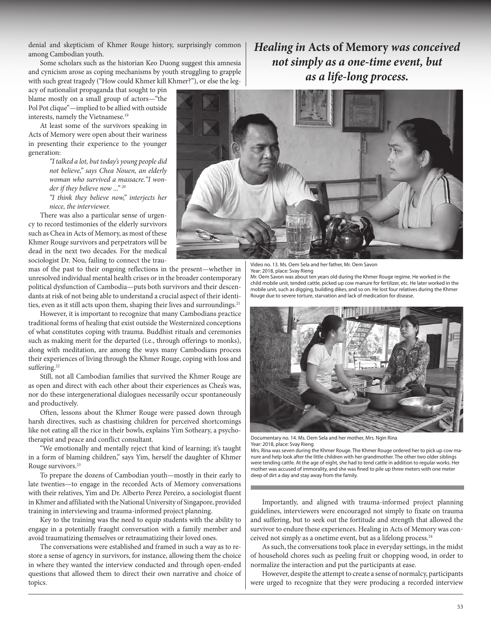denial and skepticism of Khmer Rouge history, surprisingly common among Cambodian youth.

Some scholars such as the historian Keo Duong suggest this amnesia and cynicism arose as coping mechanisms by youth struggling to grapple with such great tragedy ("How could Khmer kill Khmer?"), or else the leg-

acy of nationalist propaganda that sought to pin blame mostly on a small group of actors—"the Pol Pot clique"—implied to be allied with outside interests, namely the Vietnamese.<sup>19</sup>

At least some of the survivors speaking in Acts of Memory were open about their wariness in presenting their experience to the younger generation:

> *"I talked a lot, but today's young people did not believe," says Chea Nouen, an elderly woman who survived a massacre."I wonder if they believe now ..." 20*

> *"I think they believe now," interjects her niece, the interviewer.*

There was also a particular sense of urgency to record testimonies of the elderly survivors such as Chea in Acts of Memory, as most of these Khmer Rouge survivors and perpetrators will be dead in the next two decades. For the medical sociologist Dr. Nou, failing to connect the trau-

mas of the past to their ongoing reflections in the present—whether in unresolved individual mental health crises or in the broader contemporary political dysfunction of Cambodia—puts both survivors and their descendants at risk of not being able to understand a crucial aspect of their identities, even as it still acts upon them, shaping their lives and surroundings.<sup>21</sup>

However, it is important to recognize that many Cambodians practice traditional forms of healing that exist outside the Westernized conceptions of what constitutes coping with trauma. Buddhist rituals and ceremonies such as making merit for the departed (i.e., through offerings to monks), along with meditation, are among the ways many Cambodians process their experiences of living through the Khmer Rouge, coping with loss and suffering.<sup>22</sup>

Still, not all Cambodian families that survived the Khmer Rouge are as open and direct with each other about their experiences as Chea's was, nor do these intergenerational dialogues necessarily occur spontaneously and productively.

Often, lessons about the Khmer Rouge were passed down through harsh directives, such as chastising children for perceived shortcomings like not eating all the rice in their bowls, explains Yim Sotheary, a psychotherapist and peace and conflict consultant.

"We emotionally and mentally reject that kind of learning; it's taught in a form of blaming children," says Yim, herself the daughter of Khmer Rouge survivors.23

To prepare the dozens of Cambodian youth—mostly in their early to late twenties—to engage in the recorded Acts of Memory conversations with their relatives, Yim and Dr. Alberto Perez Pereiro, a sociologist fluent in Khmer and affiliated with the National University of Singapore, provided training in interviewing and trauma-informed project planning.

Key to the training was the need to equip students with the ability to engage in a potentially fraught conversation with a family member and avoid traumatizing themselves or retraumatizing their loved ones.

The conversations were established and framed in such a way as to restore a sense of agency in survivors, for instance, allowing them the choice in where they wanted the interview conducted and through open-ended questions that allowed them to direct their own narrative and choice of topics.

*Healing in* **Acts of Memory** *was conceived not simply as a one-time event, but as a life-long process.*



Video no. 13. Ms. Oem Sela and her father, Mr. Oem Savon Year: 2018, place: Svay Rieng

Mr. Oem Savon was about ten years old during the Khmer Rouge regime. He worked in the child mobile unit, tended cattle, picked up cow manure for fertilizer, etc. He later worked in the mobile unit, such as digging, building dikes, and so on. He lost four relatives during the Khmer Rouge due to severe torture, starvation and lack of medication for disease.



Documentary no. 14. Ms. Oem Sela and her mother, Mrs. Ngin Rina Year: 2018, place: Svay Rieng

Mrs. Rina was seven during the Khmer Rouge. The Khmer Rouge ordered her to pick up cow manure and help look after the little children with her grandmother. The other two older siblings were tending cattle. At the age of eight, she had to tend cattle in addition to regular works. Her mother was accused of immorality, and she was fined to pile up three meters with one meter deep of dirt a day and stay away from the family.

Importantly, and aligned with trauma-informed project planning guidelines, interviewers were encouraged not simply to fixate on trauma and suffering, but to seek out the fortitude and strength that allowed the survivor to endure these experiences. Healing in Acts of Memory was conceived not simply as a onetime event, but as a lifelong process.24

As such, the conversations took place in everyday settings, in the midst of household chores such as peeling fruit or chopping wood, in order to normalize the interaction and put the participants at ease.

However, despite the attempt to create a sense of normalcy, participants were urged to recognize that they were producing a recorded interview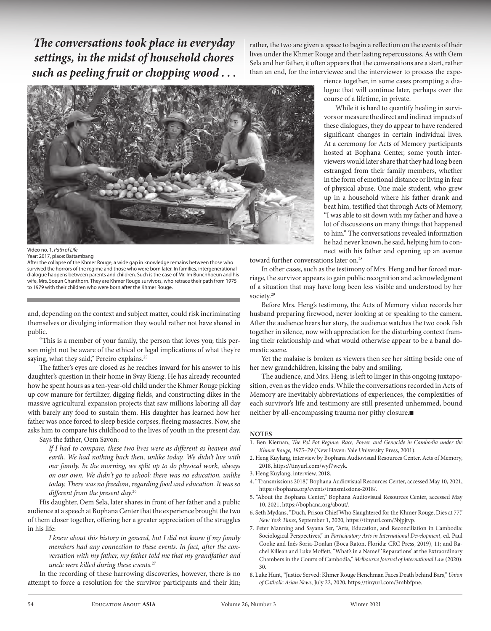*The conversations took place in everyday settings, in the midst of household chores such as peeling fruit or chopping wood . . .*

rather, the two are given a space to begin a reflection on the events of their lives under the Khmer Rouge and their lasting repercussions. As with Oem Sela and her father, it often appears that the conversations are a start, rather than an end, for the interviewee and the interviewer to process the expe-



Video no. 1. *Path of Life*

Year: 2017, place: Battambang

After the collapse of the Khmer Rouge, a wide gap in knowledge remains between those who survived the horrors of the regime and those who were born later. In families, intergenerational dialogue happens between parents and children. Such is the case of Mr. Im Bunchhoeun and his wife, Mrs. Soeun Chanthorn. They are Khmer Rouge survivors, who retrace their path from 1975 to 1979 with their children who were born after the Khmer Rouge.

and, depending on the context and subject matter, could risk incriminating themselves or divulging information they would rather not have shared in public.

"This is a member of your family, the person that loves you; this person might not be aware of the ethical or legal implications of what they're saying, what they said," Pereiro explains.<sup>25</sup>

The father's eyes are closed as he reaches inward for his answer to his daughter's question in their home in Svay Rieng. He has already recounted how he spent hours as a ten-year-old child under the Khmer Rouge picking up cow manure for fertilizer, digging fields, and constructing dikes in the massive agricultural expansion projects that saw millions laboring all day with barely any food to sustain them. His daughter has learned how her father was once forced to sleep beside corpses, fleeing massacres. Now, she asks him to compare his childhood to the lives of youth in the present day.

Says the father, Oem Savon:

*If I had to compare, these two lives were as different as heaven and earth. We had nothing back then, unlike today. We didn't live with our family. In the morning, we split up to do physical work, always on our own. We didn't go to school; there was no education, unlike today. There was no freedom, regarding food and education. It was so different from the present day.*<sup>26</sup>

His daughter, Oem Sela, later shares in front of her father and a public audience at a speech at Bophana Center that the experience brought the two of them closer together, offering her a greater appreciation of the struggles in his life:

*I knew about this history in general, but I did not know if my family members had any connection to these events. In fact, after the conversation with my father, my father told me that my grandfather and uncle were killed during these events.*<sup>27</sup>

In the recording of these harrowing discoveries, however, there is no attempt to force a resolution for the survivor participants and their kin; rience together, in some cases prompting a dialogue that will continue later, perhaps over the course of a lifetime, in private.

While it is hard to quantify healing in survivors or measure the direct and indirect impacts of these dialogues, they do appear to have rendered significant changes in certain individual lives. At a ceremony for Acts of Memory participants hosted at Bophana Center, some youth interviewers would later share that they had long been estranged from their family members, whether in the form of emotional distance or living in fear of physical abuse. One male student, who grew up in a household where his father drank and beat him, testified that through Acts of Memory, "I was able to sit down with my father and have a lot of discussions on many things that happened to him." The conversations revealed information he had never known, he said, helping him to connect with his father and opening up an avenue

toward further conversations later on.<sup>28</sup>

In other cases, such as the testimony of Mrs. Heng and her forced marriage, the survivor appears to gain public recognition and acknowledgment of a situation that may have long been less visible and understood by her society.<sup>29</sup>

Before Mrs. Heng's testimony, the Acts of Memory video records her husband preparing firewood, never looking at or speaking to the camera. After the audience hears her story, the audience watches the two cook fish together in silence, now with appreciation for the disturbing context framing their relationship and what would otherwise appear to be a banal domestic scene.

Yet the malaise is broken as viewers then see her sitting beside one of her new grandchildren, kissing the baby and smiling.

The audience, and Mrs. Heng, is left to linger in this ongoing juxtaposition, even as the video ends. While the conversations recorded in Acts of Memory are inevitably abbreviations of experiences, the complexities of each survivor's life and testimony are still presented unhemmed, bound neither by all-encompassing trauma nor pithy closure. $\square$ 

#### **NOTES**

- 1. Ben Kiernan, *The Pol Pot Regime: Race, Power, and Genocide in Cambodia under the Khmer Rouge, 1975–79* (New Haven: Yale University Press, 2001).
- 2. Heng Kuylang, interview by Bophana Audiovisual Resources Center, Acts of Memory, 2018, https://tinyurl.com/wyf7wcyk.
- 3. Heng Kuylang, interview, 2018.
- 4. "Transmissions 2018," Bophana Audiovisual Resources Center, accessed May 10, 2021, https://bophana.org/events/transmissions-2018/.
- 5. "About the Bophana Center," Bophana Audiovisual Resources Center, accessed May 10, 2021, https://bophana.org/about/.
- 6. Seth Mydans, "Duch, Prison Chief Who Slaughtered for the Khmer Rouge, Dies at 77," *New York Times*, September 1, 2020, https://tinyurl.com/3bjpjtvp.
- 7. Peter Manning and Sayana Ser, "Arts, Education, and Reconciliation in Cambodia: Sociological Perspectives," in *Participatory Arts in International Development*, ed. Paul Cooke and Inés Soria-Donlan (Boca Raton, Florida: CRC Press, 2019), 11; and Rachel Killean and Luke Moffett, "What's in a Name? 'Reparations' at the Extraordinary Chambers in the Courts of Cambodia," *Melbourne Journal of International Law* (2020): 30.
- 8. Luke Hunt, "Justice Served: Khmer Rouge Henchman Faces Death behind Bars," *Union of Catholic Asian News*, July 22, 2020, https://tinyurl.com/3mhbfpne.